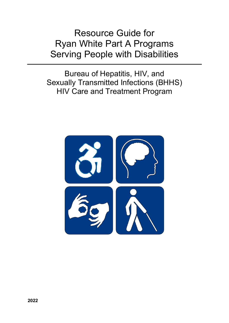Resource Guide for Ryan White Part A Programs Serving People with Disabilities

Bureau of Hepatitis, HIV, and Sexually Transmitted Infections (BHHS) HIV Care and Treatment Program

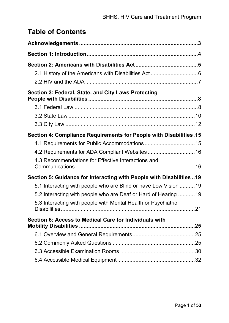# **Table of Contents**

| Section 3: Federal, State, and City Laws Protecting                   |  |
|-----------------------------------------------------------------------|--|
|                                                                       |  |
|                                                                       |  |
|                                                                       |  |
| Section 4: Compliance Requirements for People with Disabilities.15    |  |
|                                                                       |  |
|                                                                       |  |
| 4.3 Recommendations for Effective Interactions and                    |  |
| Section 5: Guidance for Interacting with People with Disabilities  19 |  |
| 5.1 Interacting with people who are Blind or have Low Vision 19       |  |
| 5.2 Interacting with people who are Deaf or Hard of Hearing 19        |  |
| 5.3 Interacting with people with Mental Health or Psychiatric         |  |
| Section 6: Access to Medical Care for Individuals with                |  |
|                                                                       |  |
|                                                                       |  |
|                                                                       |  |
|                                                                       |  |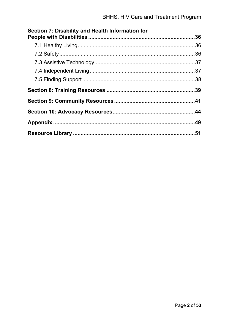| Section 7: Disability and Health Information for |  |
|--------------------------------------------------|--|
|                                                  |  |
|                                                  |  |
|                                                  |  |
|                                                  |  |
|                                                  |  |
|                                                  |  |
|                                                  |  |
|                                                  |  |
|                                                  |  |
|                                                  |  |
|                                                  |  |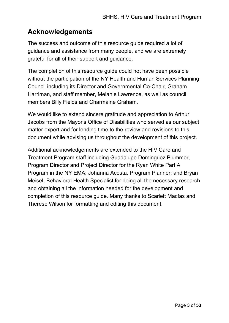# <span id="page-3-0"></span>**Acknowledgements**

The success and outcome of this resource guide required a lot of guidance and assistance from many people, and we are extremely grateful for all of their support and guidance.

The completion of this resource guide could not have been possible without the participation of the NY Health and Human Services Planning Council including its Director and Governmental Co-Chair, Graham Harriman, and staff member, Melanie Lawrence, as well as council members Billy Fields and Charmaine Graham.

We would like to extend sincere gratitude and appreciation to Arthur Jacobs from the Mayor's Office of Disabilities who served as our subject matter expert and for lending time to the review and revisions to this document while advising us throughout the development of this project.

Additional acknowledgements are extended to the HIV Care and Treatment Program staff including Guadalupe Dominguez Plummer, Program Director and Project Director for the Ryan White Part A Program in the NY EMA; Johanna Acosta, Program Planner; and Bryan Meisel, Behavioral Health Specialist for doing all the necessary research and obtaining all the information needed for the development and completion of this resource guide. Many thanks to Scarlett Macías and Therese Wilson for formatting and editing this document.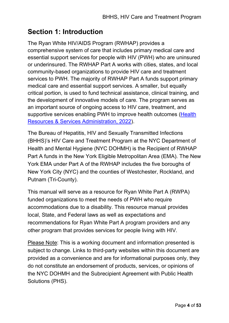# <span id="page-4-0"></span>**Section 1: Introduction**

The Ryan White HIV/AIDS Program (RWHAP) provides a comprehensive system of care that includes primary medical care and essential support services for people with HIV (PWH) who are uninsured or underinsured. The RWHAP Part A works with cities, states, and local community-based organizations to provide HIV care and treatment services to PWH. The majority of RWHAP Part A funds support primary medical care and essential support services. A smaller, but equally critical portion, is used to fund technical assistance, clinical training, and the development of innovative models of care. The program serves as an important source of ongoing access to HIV care, treatment, and supportive services enabling PWH to improve health outcomes [\(Health](https://ryanwhite.hrsa.gov/about/ryan-white)  [Resources & Services Administration, 2022\)](https://ryanwhite.hrsa.gov/about/ryan-white).

The Bureau of Hepatitis, HIV and Sexually Transmitted Infections (BHHS)'s HIV Care and Treatment Program at the NYC Department of Health and Mental Hygiene (NYC DOHMH) is the Recipient of RWHAP Part A funds in the New York Eligible Metropolitan Area (EMA). The New York EMA under Part A of the RWHAP includes the five boroughs of New York City (NYC) and the counties of Westchester, Rockland, and Putnam (Tri-County).

This manual will serve as a resource for Ryan White Part A (RWPA) funded organizations to meet the needs of PWH who require accommodations due to a disability. This resource manual provides local, State, and Federal laws as well as expectations and recommendations for Ryan White Part A program providers and any other program that provides services for people living with HIV.

Please Note: This is a working document and information presented is subject to change. Links to third-party websites within this document are provided as a convenience and are for informational purposes only, they do not constitute an endorsement of products, services, or opinions of the NYC DOHMH and the Subrecipient Agreement with Public Health Solutions (PHS).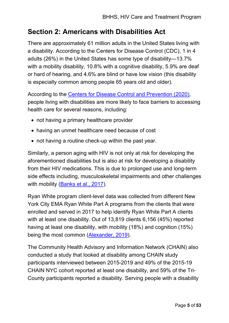# <span id="page-5-0"></span>**Section 2: Americans with Disabilities Act**

There are approximately 61 million adults in the United States living with a disability. According to the Centers for Disease Control (CDC), 1 in 4 adults (26%) in the United States has some type of disability—13.7% with a mobility disability, 10.8% with a cognitive disability, 5.9% are deaf or hard of hearing, and 4.6% are blind or have low vision (this disability is especially common among people 65 years old and older).

According to the [Centers for Disease Control and Prevention \(2020\),](https://www.cdc.gov/ncbddd/disabilityandhealth/disability.html) people living with disabilities are more likely to face barriers to accessing health care for several reasons, including:

- not having a primary healthcare provider
- having an unmet healthcare need because of cost
- not having a routine check-up within the past year.

Similarly, a person aging with HIV is not only at risk for developing the aforementioned disabilities but is also at risk for developing a disability from their HIV medications. This is due to prolonged use and long-term side effects including, musculoskeletal impairments and other challenges with mobility [\(Banks et al., 2017\)](https://journals.plos.org/plosone/article?id=10.1371/journal.pone.0181144).

Ryan White program client-level data was collected from different New York City EMA Ryan White Part A programs from the clients that were enrolled and served in 2017 to help identify Ryan White Part A clients with at least one disability. Out of 13,819 clients 6,156 (45%) reported having at least one disability, with mobility (18%) and cognition (15%) being the most common [\(Alexander, 2019\)](https://nyhiv.org/).

The Community Health Advisory and Information Network (CHAIN) also conducted a study that looked at disability among CHAIN study participants interviewed between 2015-2019 and 49% of the 2015-19 CHAIN NYC cohort reported at least one disability, and 59% of the Tri-County participants reported a disability. Serving people with a disability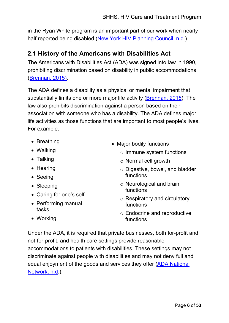in the Ryan White program is an important part of our work when nearly half reported being disabled [\(New York HIV Planning Council, n.d.](https://nyhiv.org/tdb_templates/chain-reports-template-12/)).

## <span id="page-6-0"></span>**2.1 History of the Americans with Disabilities Act**

The Americans with Disabilities Act (ADA) was signed into law in 1990, prohibiting discrimination based on disability in public accommodations [\(Brennan, 2015\).](https://www.ada.gov/reg3a.html)

The ADA defines a disability as a physical or mental impairment that substantially limits one or more major life activity [\(Brennan, 2015\)](https://www.ada.gov/reg3a.html). The law also prohibits discrimination against a person based on their association with someone who has a disability. The ADA defines major life activities as those functions that are important to most people's lives. For example:

- Breathing
- Walking
- Talking
- Hearing
- Seeing
- Sleeping
- Caring for one's self
- Performing manual tasks
- Major bodily functions
	- o Immune system functions
	- o Normal cell growth
	- o Digestive, bowel, and bladder functions
	- o Neurological and brain functions
	- o Respiratory and circulatory functions
	- o Endocrine and reproductive functions

• Working

Under the ADA, it is required that private businesses, both for-profit and not-for-profit, and health care settings provide reasonable accommodations to patients with disabilities. These settings may not discriminate against people with disabilities and may not deny full and equal enjoyment of the goods and services they offer [\(ADA National](https://adata.org/learn-about-ada)  [Network,](https://adata.org/learn-about-ada) n.d.).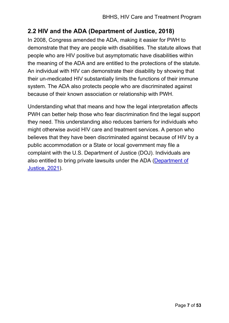## <span id="page-7-0"></span>**2.2 HIV and the ADA (Department of Justice, 2018)**

In 2008, Congress amended the ADA, making it easier for PWH to demonstrate that they are people with disabilities. The statute allows that people who are HIV positive but asymptomatic have disabilities within the meaning of the ADA and are entitled to the protections of the statute. An individual with HIV can demonstrate their disability by showing that their un-medicated HIV substantially limits the functions of their immune system. The ADA also protects people who are discriminated against because of their known association or relationship with PWH.

Understanding what that means and how the legal interpretation affects PWH can better help those who fear discrimination find the legal support they need. This understanding also reduces barriers for individuals who might otherwise avoid HIV care and treatment services. A person who believes that they have been discriminated against because of HIV by a public accommodation or a State or local government may file a complaint with the U.S. Department of Justice (DOJ). Individuals are also entitled to bring private lawsuits under the ADA [\(Department of](https://www.ada.gov/hiv/)  [Justice, 2021\)](https://www.ada.gov/hiv/).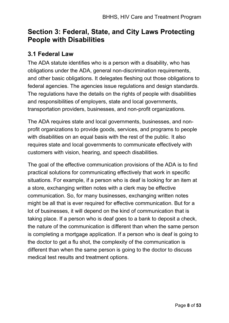# <span id="page-8-0"></span>**Section 3: Federal, State, and City Laws Protecting People with Disabilities**

## <span id="page-8-1"></span>**3.1 Federal Law**

The ADA statute identifies who is a person with a disability, who has obligations under the ADA, general non-discrimination requirements, and other basic obligations. It delegates fleshing out those obligations to federal agencies. The agencies issue regulations and design standards. The regulations have the details on the rights of people with disabilities and responsibilities of employers, state and local governments, transportation providers, businesses, and non-profit organizations.

The ADA requires state and local governments, businesses, and nonprofit organizations to provide goods, services, and programs to people with disabilities on an equal basis with the rest of the public. It also requires state and local governments to communicate effectively with customers with vision, hearing, and speech disabilities.

The goal of the effective communication provisions of the ADA is to find practical solutions for communicating effectively that work in specific situations. For example, if a person who is deaf is looking for an item at a store, exchanging written notes with a clerk may be effective communication. So, for many businesses, exchanging written notes might be all that is ever required for effective communication. But for a lot of businesses, it will depend on the kind of communication that is taking place. If a person who is deaf goes to a bank to deposit a check, the nature of the communication is different than when the same person is completing a mortgage application. If a person who is deaf is going to the doctor to get a flu shot, the complexity of the communication is different than when the same person is going to the doctor to discuss medical test results and treatment options.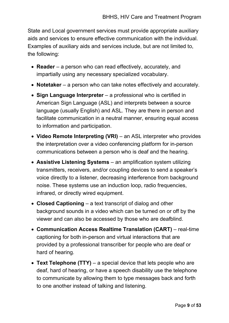State and Local government services must provide appropriate auxiliary aids and services to ensure effective communication with the individual. Examples of auxiliary aids and services include, but are not limited to, the following:

- **Reader** a person who can read effectively, accurately, and impartially using any necessary specialized vocabulary.
- **Notetaker** a person who can take notes effectively and accurately.
- **Sign Language Interpreter** a professional who is certified in American Sign Language (ASL) and interprets between a source language (usually English) and ASL. They are there in person and facilitate communication in a neutral manner, ensuring equal access to information and participation.
- **Video Remote Interpreting (VRI)** an ASL interpreter who provides the interpretation over a video conferencing platform for in-person communications between a person who is deaf and the hearing.
- **Assistive Listening Systems** an amplification system utilizing transmitters, receivers, and/or coupling devices to send a speaker's voice directly to a listener, decreasing interference from background noise. These systems use an induction loop, radio frequencies, infrared, or directly wired equipment.
- **Closed Captioning** a text transcript of dialog and other background sounds in a video which can be turned on or off by the viewer and can also be accessed by those who are deafblind.
- **Communication Access Realtime Translation (CART)** real-time captioning for both in-person and virtual interactions that are provided by a professional transcriber for people who are deaf or hard of hearing.
- **Text Telephone (TTY)** a special device that lets people who are deaf, hard of hearing, or have a speech disability use the telephone to communicate by allowing them to type messages back and forth to one another instead of talking and listening.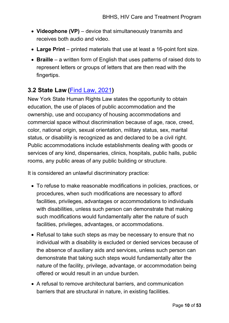- **Videophone (VP)** device that simultaneously transmits and receives both audio and video.
- **Large Print** printed materials that use at least a 16-point font size.
- **Braille** a written form of English that uses patterns of raised dots to represent letters or groups of letters that are then read with the fingertips.

## <span id="page-10-0"></span>**3.2 State Law (**[Find Law, 2021](https://codes.findlaw.com/ny/executive-law/#!tid=N1099A334233545C0A48E0D25240A381F)**)**

New York State Human Rights Law states the opportunity to obtain education, the use of places of public accommodation and the ownership, use and occupancy of housing accommodations and commercial space without discrimination because of age, race, creed, color, national origin, sexual orientation, military status, sex, marital status, or disability is recognized as and declared to be a civil right. Public accommodations include establishments dealing with goods or services of any kind, dispensaries, clinics, hospitals, public halls, public rooms, any public areas of any public building or structure.

It is considered an unlawful discriminatory practice:

- To refuse to make reasonable modifications in policies, practices, or procedures, when such modifications are necessary to afford facilities, privileges, advantages or accommodations to individuals with disabilities, unless such person can demonstrate that making such modifications would fundamentally alter the nature of such facilities, privileges, advantages, or accommodations.
- Refusal to take such steps as may be necessary to ensure that no individual with a disability is excluded or denied services because of the absence of auxiliary aids and services, unless such person can demonstrate that taking such steps would fundamentally alter the nature of the facility, privilege, advantage, or accommodation being offered or would result in an undue burden.
- A refusal to remove architectural barriers, and communication barriers that are structural in nature, in existing facilities.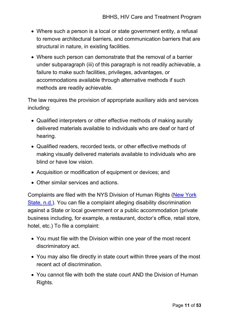- Where such a person is a local or state government entity, a refusal to remove architectural barriers, and communication barriers that are structural in nature, in existing facilities.
- Where such person can demonstrate that the removal of a barrier under subparagraph (iii) of this paragraph is not readily achievable, a failure to make such facilities, privileges, advantages, or accommodations available through alternative methods if such methods are readily achievable.

The law requires the provision of appropriate auxiliary aids and services including:

- Qualified interpreters or other effective methods of making aurally delivered materials available to individuals who are deaf or hard of hearing.
- Qualified readers, recorded texts, or other effective methods of making visually delivered materials available to individuals who are blind or have low vision.
- Acquisition or modification of equipment or devices; and
- Other similar services and actions.

Complaints are filed with the NYS Division of Human Rights [\(New York](https://dhr.ny.gov/complaint)  [State, n.d.\)](https://dhr.ny.gov/complaint). You can file a complaint alleging disability discrimination against a State or local government or a public accommodation (private business including, for example, a restaurant, doctor's office, retail store, hotel, etc.) To file a complaint:

- You must file with the Division within one year of the most recent discriminatory act.
- You may also file directly in state court within three years of the most recent act of discrimination.
- You cannot file with both the state court AND the Division of Human Rights.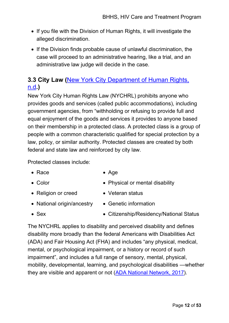- If you file with the Division of Human Rights, it will investigate the alleged discrimination.
- If the Division finds probable cause of unlawful discrimination, the case will proceed to an administrative hearing, like a trial, and an administrative law judge will decide in the case.

## <span id="page-12-0"></span>**3.3 City Law (**[New York City Department of Human Rights,](https://www1.nyc.gov/site/cchr/law/the-law.page)  [n.d](https://www1.nyc.gov/site/cchr/law/the-law.page)**.)**

New York City Human Rights Law (NYCHRL) prohibits anyone who provides goods and services (called public accommodations), including government agencies, from "withholding or refusing to provide full and equal enjoyment of the goods and services it provides to anyone based on their membership in a protected class. A protected class is a group of people with a common characteristic qualified for special protection by a law, policy, or similar authority. Protected classes are created by both federal and state law and reinforced by city law.

Protected classes include:

- Race • Age
- Color
- 
- Physical or mental disability
- Religion or creed • Veteran status
- National origin/ancestry Genetic information
- Sex
	- Citizenship/Residency/National Status

The NYCHRL applies to disability and perceived disability and defines disability more broadly than the federal Americans with Disabilities Act (ADA) and Fair Housing Act (FHA) and includes "any physical, medical, mental, or psychological impairment, or a history or record of such impairment", and includes a full range of sensory, mental, physical, mobility, developmental, learning, and psychological disabilities —whether they are visible and apparent or not [\(ADA National Network, 2017\)](https://adata.org/project/ada-checklist).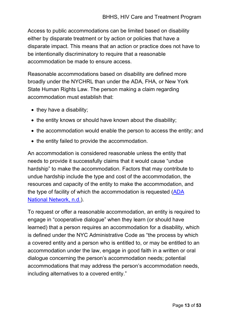Access to public accommodations can be limited based on disability either by disparate treatment or by action or policies that have a disparate impact. This means that an action or practice does not have to be intentionally discriminatory to require that a reasonable accommodation be made to ensure access.

Reasonable accommodations based on disability are defined more broadly under the NYCHRL than under the ADA, FHA, or New York State Human Rights Law. The person making a claim regarding accommodation must establish that:

- they have a disability;
- the entity knows or should have known about the disability;
- the accommodation would enable the person to access the entity; and
- the entity failed to provide the accommodation.

An accommodation is considered reasonable unless the entity that needs to provide it successfully claims that it would cause "undue hardship" to make the accommodation. Factors that may contribute to undue hardship include the type and cost of the accommodation, the resources and capacity of the entity to make the accommodation, and the type of facility of which the accommodation is requested [\(ADA](https://adata.org/faq/what-process-request-reasonable-accommodation)  [National Network, n.d.\)](https://adata.org/faq/what-process-request-reasonable-accommodation).

To request or offer a reasonable accommodation, an entity is required to engage in "cooperative dialogue" when they learn (or should have learned) that a person requires an accommodation for a disability, which is defined under the NYC Administrative Code as "the process by which a covered entity and a person who is entitled to, or may be entitled to an accommodation under the law, engage in good faith in a written or oral dialogue concerning the person's accommodation needs; potential accommodations that may address the person's accommodation needs, including alternatives to a covered entity."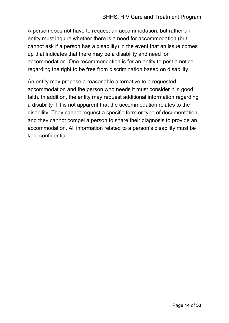A person does not have to request an accommodation, but rather an entity must inquire whether there is a need for accommodation (but cannot ask if a person has a disability) in the event that an issue comes up that indicates that there may be a disability and need for accommodation. One recommendation is for an entity to post a notice regarding the right to be free from discrimination based on disability.

An entity may propose a reasonable alternative to a requested accommodation and the person who needs it must consider it in good faith. In addition, the entity may request additional information regarding a disability if it is not apparent that the accommodation relates to the disability. They cannot request a specific form or type of documentation and they cannot compel a person to share their diagnosis to provide an accommodation. All information related to a person's disability must be kept confidential.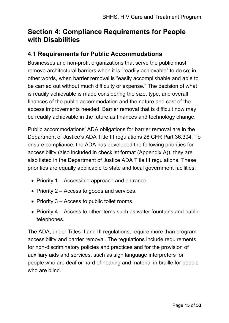# <span id="page-15-0"></span>**Section 4: Compliance Requirements for People with Disabilities**

## <span id="page-15-1"></span>**4.1 Requirements for Public Accommodations**

Businesses and non-profit organizations that serve the public must remove architectural barriers when it is "readily achievable" to do so; in other words, when barrier removal is "easily accomplishable and able to be carried out without much difficulty or expense." The decision of what is readily achievable is made considering the size, type, and overall finances of the public accommodation and the nature and cost of the access improvements needed. Barrier removal that is difficult now may be readily achievable in the future as finances and technology change.

Public accommodations' ADA obligations for barrier removal are in the Department of Justice's ADA Title III regulations 28 CFR Part 36.304. To ensure compliance, the ADA has developed the following priorities for accessibility (also included in checklist format (Appendix A)), they are also listed in the Department of Justice ADA Title III regulations. These priorities are equally applicable to state and local government facilities:

- Priority 1 Accessible approach and entrance.
- Priority 2 Access to goods and services.
- Priority 3 Access to public toilet rooms.
- Priority 4 Access to other items such as water fountains and public telephones.

The ADA, under Titles II and III regulations, require more than program accessibility and barrier removal. The regulations include requirements for non-discriminatory policies and practices and for the provision of auxiliary aids and services, such as sign language interpreters for people who are deaf or hard of hearing and material in braille for people who are blind.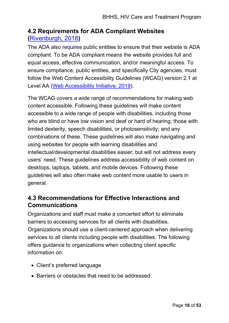## <span id="page-16-0"></span>**4.2 Requirements for ADA Compliant Websites (**[Rivenburgh, 2018](https://krisrivenburgh.medium.com/the-ada-checklist-website-compliance-guidelines-for-2019-in-plain-english-123c1d58fad9)**)**

The ADA also requires public entities to ensure that their website is ADA compliant. To be ADA compliant means the website provides full and equal access, effective communication, and/or meaningful access. To ensure compliance, public entities, and specifically City agencies, must follow the Web Content Accessibility Guidelines (WCAG) version 2.1 at Level AA [\(Web Accessibility Initiative, 2019\)](https://www.w3.org/WAI/WCAG21/quickref/).

The WCAG covers a wide range of recommendations for making web content accessible. Following these guidelines will make content accessible to a wide range of people with disabilities, including those who are blind or have low vision and deaf or hard of hearing; those with limited dexterity, speech disabilities, or photosensitivity; and any combinations of these. These guidelines will also make navigating and using websites for people with learning disabilities and intellectual/developmental disabilities easier; but will not address every users' need. These guidelines address accessibility of web content on desktops, laptops, tablets, and mobile devices. Following these guidelines will also often make web content more usable to users in general.

## <span id="page-16-1"></span>**4.3 Recommendations for Effective Interactions and Communications**

Organizations and staff must make a concerted effort to eliminate barriers to accessing services for all clients with disabilities. Organizations should use a client-centered approach when delivering services to all clients including people with disabilities. The following offers guidance to organizations when collecting client specific information on:

- Client's preferred language
- Barriers or obstacles that need to be addressed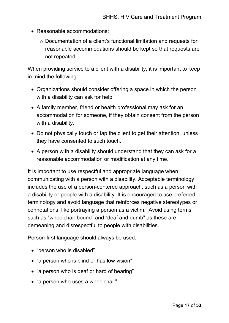- Reasonable accommodations:
	- o Documentation of a client's functional limitation and requests for reasonable accommodations should be kept so that requests are not repeated.

When providing service to a client with a disability, it is important to keep in mind the following:

- Organizations should consider offering a space in which the person with a disability can ask for help.
- A family member, friend or health professional may ask for an accommodation for someone, if they obtain consent from the person with a disability.
- Do not physically touch or tap the client to get their attention, unless they have consented to such touch.
- A person with a disability should understand that they can ask for a reasonable accommodation or modification at any time.

It is important to use respectful and appropriate language when communicating with a person with a disability. Acceptable terminology includes the use of a person-centered approach, such as a person with a disability or people with a disability. It is encouraged to use preferred terminology and avoid language that reinforces negative stereotypes or connotations, like portraying a person as a victim. Avoid using terms such as "wheelchair bound" and "deaf and dumb" as these are demeaning and disrespectful to people with disabilities.

Person-first language should always be used:

- "person who is disabled"
- "a person who is blind or has low vision"
- "a person who is deaf or hard of hearing"
- "a person who uses a wheelchair"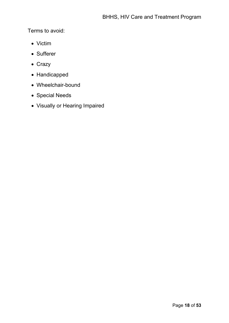Terms to avoid:

- Victim
- Sufferer
- Crazy
- Handicapped
- Wheelchair-bound
- Special Needs
- Visually or Hearing Impaired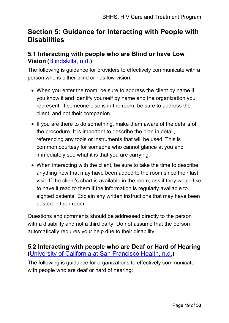# <span id="page-19-0"></span>**Section 5: Guidance for Interacting with People with Disabilities**

## <span id="page-19-1"></span>**5.1 Interacting with people who are Blind or have Low Vision (**[Blindskills, n.d.](http://www.blindskills.com/)**)**

The following is guidance for providers to effectively communicate with a person who is either blind or has low vision:

- When you enter the room, be sure to address the client by name if you know it and identify yourself by name and the organization you represent. If someone else is in the room, be sure to address the client, and not their companion.
- If you are there to do something, make them aware of the details of the procedure. It is important to describe the plan in detail, referencing any tools or instruments that will be used. This is common courtesy for someone who cannot glance at you and immediately see what it is that you are carrying.
- When interacting with the client, be sure to take the time to describe anything new that may have been added to the room since their last visit. If the client's chart is available in the room, ask if they would like to have it read to them if the information is regularly available to sighted patients. Explain any written instructions that may have been posted in their room.

Questions and comments should be addressed directly to the person with a disability and not a third party. Do not assume that the person automatically requires your help due to their disability.

## <span id="page-19-2"></span>**5.2 Interacting with people who are Deaf or Hard of Hearing (**[University of California at San Francisco Health, n.d.](https://www.ucsfhealth.org/education/communicating-with-people-with-hearing-loss)**)**

The following is guidance for organizations to effectively communicate with people who are deaf or hard of hearing: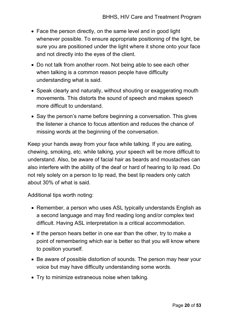- Face the person directly, on the same level and in good light whenever possible. To ensure appropriate positioning of the light, be sure you are positioned under the light where it shone onto your face and not directly into the eyes of the client.
- Do not talk from another room. Not being able to see each other when talking is a common reason people have difficulty understanding what is said.
- Speak clearly and naturally, without shouting or exaggerating mouth movements. This distorts the sound of speech and makes speech more difficult to understand.
- Say the person's name before beginning a conversation. This gives the listener a chance to focus attention and reduces the chance of missing words at the beginning of the conversation.

Keep your hands away from your face while talking. If you are eating, chewing, smoking, etc. while talking, your speech will be more difficult to understand. Also, be aware of facial hair as beards and moustaches can also interfere with the ability of the deaf or hard of hearing to lip read. Do not rely solely on a person to lip read, the best lip readers only catch about 30% of what is said.

Additional tips worth noting:

- Remember, a person who uses ASL typically understands English as a second language and may find reading long and/or complex text difficult. Having ASL interpretation is a critical accommodation.
- If the person hears better in one ear than the other, try to make a point of remembering which ear is better so that you will know where to position yourself.
- Be aware of possible distortion of sounds. The person may hear your voice but may have difficulty understanding some words.
- Try to minimize extraneous noise when talking.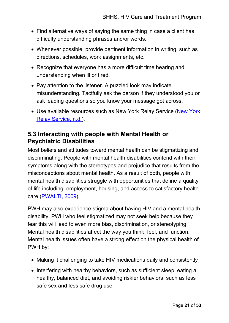- Find alternative ways of saying the same thing in case a client has difficulty understanding phrases and/or words.
- Whenever possible, provide pertinent information in writing, such as directions, schedules, work assignments, etc.
- Recognize that everyone has a more difficult time hearing and understanding when ill or tired.
- Pay attention to the listener. A puzzled look may indicate misunderstanding. Tactfully ask the person if they understood you or ask leading questions so you know your message got across.
- Use available resources such as New York Relay Service (New York [Relay Service, n.d.\)](http://nyrelay.com/).

## <span id="page-21-0"></span>**5.3 Interacting with people with Mental Health or Psychiatric Disabilities**

Most beliefs and attitudes toward mental health can be stigmatizing and discriminating. People with mental health disabilities contend with their symptoms along with the stereotypes and prejudice that results from the misconceptions about mental health. As a result of both, people with mental health disabilities struggle with opportunities that define a quality of life including, employment, housing, and access to satisfactory health care [\(PWALTI, 2009\)](https://www.health.ny.gov/publications/9579.pdf).

PWH may also experience stigma about having HIV and a mental health disability. PWH who feel stigmatized may not seek help because they fear this will lead to even more bias, discrimination, or stereotyping. Mental health disabilities affect the way you think, feel, and function. Mental health issues often have a strong effect on the physical health of PWH by:

- Making it challenging to take HIV medications daily and consistently
- Interfering with healthy behaviors, such as sufficient sleep, eating a healthy, balanced diet, and avoiding riskier behaviors, such as less safe sex and less safe drug use.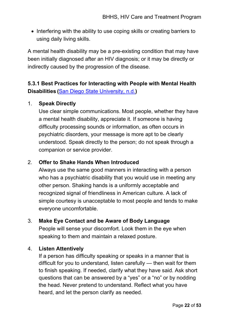• Interfering with the ability to use coping skills or creating barriers to using daily living skills.

A mental health disability may be a pre-existing condition that may have been initially diagnosed after an HIV diagnosis; or it may be directly or indirectly caused by the progression of the disease.

## **5.3.1 Best Practices for Interacting with People with Mental Health Disabilities (**[San Diego State University, n.d.](https://newscenter.sdsu.edu/student_affairs/sds/tip-mental-health.aspx)**)**

### 1. **Speak Directly**

Use clear simple communications. Most people, whether they have a mental health disability, appreciate it. If someone is having difficulty processing sounds or information, as often occurs in psychiatric disorders, your message is more apt to be clearly understood. Speak directly to the person; do not speak through a companion or service provider.

### 2. **Offer to Shake Hands When Introduced**

Always use the same good manners in interacting with a person who has a psychiatric disability that you would use in meeting any other person. Shaking hands is a uniformly acceptable and recognized signal of friendliness in American culture. A lack of simple courtesy is unacceptable to most people and tends to make everyone uncomfortable.

### 3. **Make Eye Contact and be Aware of Body Language**

People will sense your discomfort. Look them in the eye when speaking to them and maintain a relaxed posture.

### 4. **Listen Attentively**

If a person has difficulty speaking or speaks in a manner that is difficult for you to understand, listen carefully — then wait for them to finish speaking. If needed, clarify what they have said. Ask short questions that can be answered by a "yes" or a "no" or by nodding the head. Never pretend to understand. Reflect what you have heard, and let the person clarify as needed.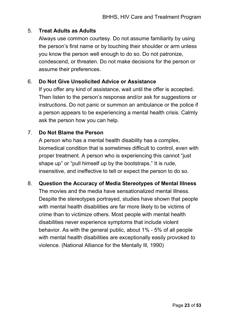### 5. **Treat Adults as Adults**

Always use common courtesy. Do not assume familiarity by using the person's first name or by touching their shoulder or arm unless you know the person well enough to do so. Do not patronize, condescend, or threaten. Do not make decisions for the person or assume their preferences.

### 6. **Do Not Give Unsolicited Advice or Assistance**

If you offer any kind of assistance, wait until the offer is accepted. Then listen to the person's response and/or ask for suggestions or instructions. Do not panic or summon an ambulance or the police if a person appears to be experiencing a mental health crisis. Calmly ask the person how you can help.

## 7. **Do Not Blame the Person**

A person who has a mental health disability has a complex, biomedical condition that is sometimes difficult to control, even with proper treatment. A person who is experiencing this cannot "just shape up" or "pull himself up by the bootstraps." It is rude, insensitive, and ineffective to tell or expect the person to do so.

### 8. **Question the Accuracy of Media Stereotypes of Mental Illness**

The movies and the media have sensationalized mental illness. Despite the stereotypes portrayed, studies have shown that people with mental health disabilities are far more likely to be victims of crime than to victimize others. Most people with mental health disabilities never experience symptoms that include violent behavior. As with the general public, about 1% - 5% of all people with mental health disabilities are exceptionally easily provoked to violence. (National Alliance for the Mentally Ill, 1990)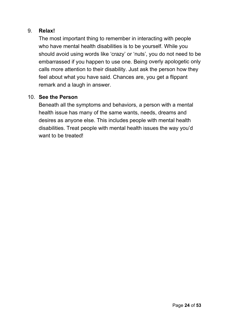### 9. **Relax!**

The most important thing to remember in interacting with people who have mental health disabilities is to be yourself. While you should avoid using words like 'crazy' or 'nuts', you do not need to be embarrassed if you happen to use one. Being overly apologetic only calls more attention to their disability. Just ask the person how they feel about what you have said. Chances are, you get a flippant remark and a laugh in answer.

### 10. **See the Person**

Beneath all the symptoms and behaviors, a person with a mental health issue has many of the same wants, needs, dreams and desires as anyone else. This includes people with mental health disabilities. Treat people with mental health issues the way you'd want to be treated!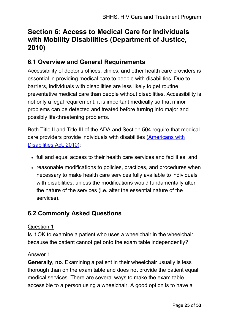# <span id="page-25-0"></span>**Section 6: Access to Medical Care for Individuals with Mobility Disabilities [\(Department of Justice,](https://www.ada.gov/medcare_mobility_ta/medcare_ta.htm)  [2010\)](https://www.ada.gov/medcare_mobility_ta/medcare_ta.htm)**

## <span id="page-25-1"></span>**6.1 Overview and General Requirements**

Accessibility of doctor's offices, clinics, and other health care providers is essential in providing medical care to people with disabilities. Due to barriers, individuals with disabilities are less likely to get routine preventative medical care than people without disabilities. Accessibility is not only a legal requirement; it is important medically so that minor problems can be detected and treated before turning into major and possibly life-threatening problems.

Both Title II and Title III of the ADA and Section 504 require that medical care providers provide individuals with disabilities [\(Americans with](https://www.ada.gov/regs2010/titleII_2010/titleII_2010_regulations.htm)  [Disabilities Act, 2010\):](https://www.ada.gov/regs2010/titleII_2010/titleII_2010_regulations.htm)

- full and equal access to their health care services and facilities; and
- reasonable modifications to policies, practices, and procedures when necessary to make health care services fully available to individuals with disabilities, unless the modifications would fundamentally alter the nature of the services (i.e. alter the essential nature of the services).

## <span id="page-25-2"></span>**6.2 Commonly Asked Questions**

### Question 1

Is it OK to examine a patient who uses a wheelchair in the wheelchair, because the patient cannot get onto the exam table independently?

### Answer 1

**Generally, no**. Examining a patient in their wheelchair usually is less thorough than on the exam table and does not provide the patient equal medical services. There are several ways to make the exam table accessible to a person using a wheelchair. A good option is to have a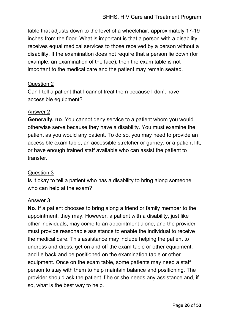table that adjusts down to the level of a wheelchair, approximately 17-19 inches from the floor. What is important is that a person with a disability receives equal medical services to those received by a person without a disability. If the examination does not require that a person lie down (for example, an examination of the face), then the exam table is not important to the medical care and the patient may remain seated.

### Question 2

Can I tell a patient that I cannot treat them because I don't have accessible equipment?

### Answer 2

**Generally, no**. You cannot deny service to a patient whom you would otherwise serve because they have a disability. You must examine the patient as you would any patient. To do so, you may need to provide an accessible exam table, an accessible stretcher or gurney, or a patient lift, or have enough trained staff available who can assist the patient to transfer.

### Question 3

Is it okay to tell a patient who has a disability to bring along someone who can help at the exam?

### Answer 3

**No**. If a patient chooses to bring along a friend or family member to the appointment, they may. However, a patient with a disability, just like other individuals, may come to an appointment alone, and the provider must provide reasonable assistance to enable the individual to receive the medical care. This assistance may include helping the patient to undress and dress, get on and off the exam table or other equipment, and lie back and be positioned on the examination table or other equipment. Once on the exam table, some patients may need a staff person to stay with them to help maintain balance and positioning. The provider should ask the patient if he or she needs any assistance and, if so, what is the best way to help.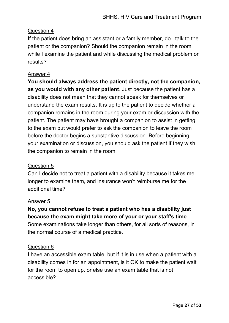### Question 4

If the patient does bring an assistant or a family member, do I talk to the patient or the companion? Should the companion remain in the room while I examine the patient and while discussing the medical problem or results?

### Answer 4

**You should always address the patient directly, not the companion, as you would with any other patient**. Just because the patient has a disability does not mean that they cannot speak for themselves or understand the exam results. It is up to the patient to decide whether a companion remains in the room during your exam or discussion with the patient. The patient may have brought a companion to assist in getting to the exam but would prefer to ask the companion to leave the room before the doctor begins a substantive discussion. Before beginning your examination or discussion, you should ask the patient if they wish the companion to remain in the room.

## Question 5

Can I decide not to treat a patient with a disability because it takes me longer to examine them, and insurance won't reimburse me for the additional time?

### Answer 5

**No, you cannot refuse to treat a patient who has a disability just because the exam might take more of your or your staff's time**. Some examinations take longer than others, for all sorts of reasons, in the normal course of a medical practice.

### Question 6

I have an accessible exam table, but if it is in use when a patient with a disability comes in for an appointment, is it OK to make the patient wait for the room to open up, or else use an exam table that is not accessible?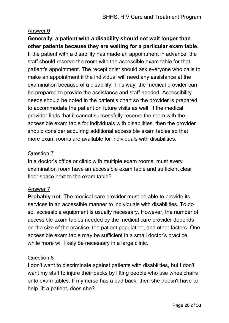#### Answer 6

**Generally, a patient with a disability should not wait longer than other patients because they are waiting for a particular exam table**. If the patient with a disability has made an appointment in advance, the staff should reserve the room with the accessible exam table for that patient's appointment. The receptionist should ask everyone who calls to make an appointment if the individual will need any assistance at the examination because of a disability. This way, the medical provider can be prepared to provide the assistance and staff needed. Accessibility needs should be noted in the patient's chart so the provider is prepared to accommodate the patient on future visits as well. If the medical provider finds that it cannot successfully reserve the room with the accessible exam table for individuals with disabilities, then the provider should consider acquiring additional accessible exam tables so that more exam rooms are available for individuals with disabilities.

#### Question 7

In a doctor's office or clinic with multiple exam rooms, must every examination room have an accessible exam table and sufficient clear floor space next to the exam table?

### Answer 7

**Probably not**. The medical care provider must be able to provide its services in an accessible manner to individuals with disabilities. To do so, accessible equipment is usually necessary. However, the number of accessible exam tables needed by the medical care provider depends on the size of the practice, the patient population, and other factors. One accessible exam table may be sufficient in a small doctor's practice, while more will likely be necessary in a large clinic.

#### Question 8

I don't want to discriminate against patients with disabilities, but I don't want my staff to injure their backs by lifting people who use wheelchairs onto exam tables. If my nurse has a bad back, then she doesn't have to help lift a patient, does she?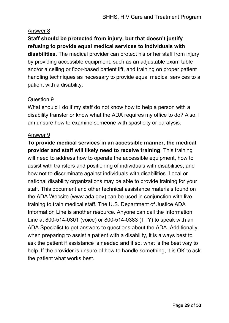### Answer 8

## **Staff should be protected from injury, but that doesn't justify refusing to provide equal medical services to individuals with**

**disabilities.** The medical provider can protect his or her staff from injury by providing accessible equipment, such as an adjustable exam table and/or a ceiling or floor-based patient lift, and training on proper patient handling techniques as necessary to provide equal medical services to a patient with a disability.

### Question 9

What should I do if my staff do not know how to help a person with a disability transfer or know what the ADA requires my office to do? Also, I am unsure how to examine someone with spasticity or paralysis.

### Answer 9

**To provide medical services in an accessible manner, the medical provider and staff will likely need to receive training**. This training will need to address how to operate the accessible equipment, how to assist with transfers and positioning of individuals with disabilities, and how not to discriminate against individuals with disabilities. Local or national disability organizations may be able to provide training for your staff. This document and other technical assistance materials found on the ADA Website (www.ada.gov) can be used in conjunction with live training to train medical staff. The U.S. Department of Justice ADA Information Line is another resource. Anyone can call the Information Line at 800-514-0301 (voice) or 800-514-0383 (TTY) to speak with an ADA Specialist to get answers to questions about the ADA. Additionally, when preparing to assist a patient with a disability, it is always best to ask the patient if assistance is needed and if so, what is the best way to help. If the provider is unsure of how to handle something, it is OK to ask the patient what works best.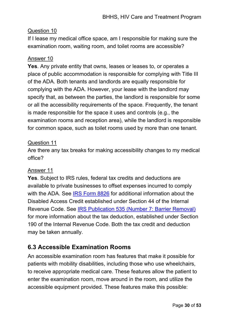#### Question 10

If I lease my medical office space, am I responsible for making sure the examination room, waiting room, and toilet rooms are accessible?

#### Answer 10

**Yes**. Any private entity that owns, leases or leases to, or operates a place of public accommodation is responsible for complying with Title III of the ADA. Both tenants and landlords are equally responsible for complying with the ADA. However, your lease with the landlord may specify that, as between the parties, the landlord is responsible for some or all the accessibility requirements of the space. Frequently, the tenant is made responsible for the space it uses and controls (e.g., the examination rooms and reception area), while the landlord is responsible for common space, such as toilet rooms used by more than one tenant.

#### Question 11

Are there any tax breaks for making accessibility changes to my medical office?

#### Answer 11

**Yes**. Subject to IRS rules, federal tax credits and deductions are available to private businesses to offset expenses incurred to comply with the ADA. See [IRS Form 8826](http://www.irs.gov/pub/irs-pdf/f8826.pdf) for additional information about the Disabled Access Credit established under Section 44 of the Internal Revenue Code. See [IRS Publication 535 \(Number 7: Barrier Removal\)](http://www.irs.gov/publications/p535/index.html) for more information about the tax deduction, established under Section 190 of the Internal Revenue Code. Both the tax credit and deduction may be taken annually.

## <span id="page-30-0"></span>**6.3 Accessible Examination Rooms**

An accessible examination room has features that make it possible for patients with mobility disabilities, including those who use wheelchairs, to receive appropriate medical care. These features allow the patient to enter the examination room, move around in the room, and utilize the accessible equipment provided. These features make this possible: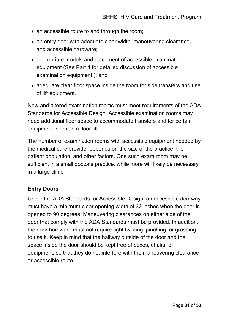- an accessible route to and through the room;
- an entry door with adequate clear width, maneuvering clearance, and accessible hardware;
- appropriate models and placement of accessible examination equipment (See Part 4 for detailed discussion of accessible examination equipment.); and
- adequate clear floor space inside the room for side transfers and use of lift equipment.

New and altered examination rooms must meet requirements of the ADA Standards for Accessible Design. Accessible examination rooms may need additional floor space to accommodate transfers and for certain equipment, such as a floor lift.

The number of examination rooms with accessible equipment needed by the medical care provider depends on the size of the practice, the patient population, and other factors. One such exam room may be sufficient in a small doctor's practice, while more will likely be necessary in a large clinic.

### **Entry Doors**

Under the ADA Standards for Accessible Design, an accessible doorway must have a minimum clear opening width of 32 inches when the door is opened to 90 degrees. Maneuvering clearances on either side of the door that comply with the ADA Standards must be provided. In addition, the door hardware must not require tight twisting, pinching, or grasping to use it. Keep in mind that the hallway outside of the door and the space inside the door should be kept free of boxes, chairs, or equipment, so that they do not interfere with the maneuvering clearance or accessible route.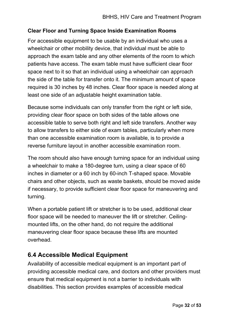### **Clear Floor and Turning Space Inside Examination Rooms**

For accessible equipment to be usable by an individual who uses a wheelchair or other mobility device, that individual must be able to approach the exam table and any other elements of the room to which patients have access. The exam table must have sufficient clear floor space next to it so that an individual using a wheelchair can approach the side of the table for transfer onto it. The minimum amount of space required is 30 inches by 48 inches. Clear floor space is needed along at least one side of an adjustable height examination table.

Because some individuals can only transfer from the right or left side, providing clear floor space on both sides of the table allows one accessible table to serve both right and left side transfers. Another way to allow transfers to either side of exam tables, particularly when more than one accessible examination room is available, is to provide a reverse furniture layout in another accessible examination room.

The room should also have enough turning space for an individual using a wheelchair to make a 180-degree turn, using a clear space of 60 inches in diameter or a 60 inch by 60-inch T-shaped space. Movable chairs and other objects, such as waste baskets, should be moved aside if necessary, to provide sufficient clear floor space for maneuvering and turning.

When a portable patient lift or stretcher is to be used, additional clear floor space will be needed to maneuver the lift or stretcher. Ceilingmounted lifts, on the other hand, do not require the additional maneuvering clear floor space because these lifts are mounted overhead.

## <span id="page-32-0"></span>**6.4 Accessible Medical Equipment**

Availability of accessible medical equipment is an important part of providing accessible medical care, and doctors and other providers must ensure that medical equipment is not a barrier to individuals with disabilities. This section provides examples of accessible medical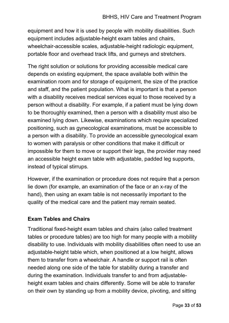equipment and how it is used by people with mobility disabilities. Such equipment includes adjustable-height exam tables and chairs, wheelchair-accessible scales, adjustable-height radiologic equipment, portable floor and overhead track lifts, and gurneys and stretchers.

The right solution or solutions for providing accessible medical care depends on existing equipment, the space available both within the examination room and for storage of equipment, the size of the practice and staff, and the patient population. What is important is that a person with a disability receives medical services equal to those received by a person without a disability. For example, if a patient must be lying down to be thoroughly examined, then a person with a disability must also be examined lying down. Likewise, examinations which require specialized positioning, such as gynecological examinations, must be accessible to a person with a disability. To provide an accessible gynecological exam to women with paralysis or other conditions that make it difficult or impossible for them to move or support their legs, the provider may need an accessible height exam table with adjustable, padded leg supports, instead of typical stirrups.

However, if the examination or procedure does not require that a person lie down (for example, an examination of the face or an x-ray of the hand), then using an exam table is not necessarily important to the quality of the medical care and the patient may remain seated.

### **Exam Tables and Chairs**

Traditional fixed-height exam tables and chairs (also called treatment tables or procedure tables) are too high for many people with a mobility disability to use. Individuals with mobility disabilities often need to use an adjustable-height table which, when positioned at a low height, allows them to transfer from a wheelchair. A handle or support rail is often needed along one side of the table for stability during a transfer and during the examination. Individuals transfer to and from adjustableheight exam tables and chairs differently. Some will be able to transfer on their own by standing up from a mobility device, pivoting, and sitting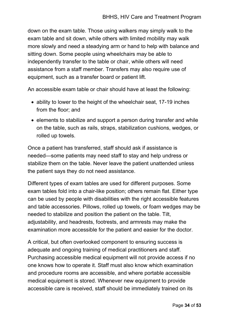down on the exam table. Those using walkers may simply walk to the exam table and sit down, while others with limited mobility may walk more slowly and need a steadying arm or hand to help with balance and sitting down. Some people using wheelchairs may be able to independently transfer to the table or chair, while others will need assistance from a staff member. Transfers may also require use of equipment, such as a transfer board or patient lift.

An accessible exam table or chair should have at least the following:

- ability to lower to the height of the wheelchair seat, 17-19 inches from the floor; and
- elements to stabilize and support a person during transfer and while on the table, such as rails, straps, stabilization cushions, wedges, or rolled up towels.

Once a patient has transferred, staff should ask if assistance is needed—some patients may need staff to stay and help undress or stabilize them on the table. Never leave the patient unattended unless the patient says they do not need assistance.

Different types of exam tables are used for different purposes. Some exam tables fold into a chair-like position; others remain flat. Either type can be used by people with disabilities with the right accessible features and table accessories. Pillows, rolled up towels, or foam wedges may be needed to stabilize and position the patient on the table. Tilt, adjustability, and headrests, footrests, and armrests may make the examination more accessible for the patient and easier for the doctor.

A critical, but often overlooked component to ensuring success is adequate and ongoing training of medical practitioners and staff. Purchasing accessible medical equipment will not provide access if no one knows how to operate it. Staff must also know which examination and procedure rooms are accessible, and where portable accessible medical equipment is stored. Whenever new equipment to provide accessible care is received, staff should be immediately trained on its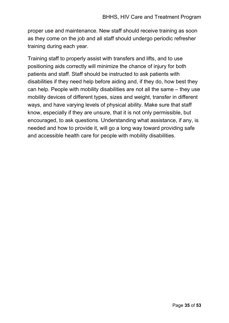proper use and maintenance. New staff should receive training as soon as they come on the job and all staff should undergo periodic refresher training during each year.

Training staff to properly assist with transfers and lifts, and to use positioning aids correctly will minimize the chance of injury for both patients and staff. Staff should be instructed to ask patients with disabilities if they need help before aiding and, if they do, how best they can help. People with mobility disabilities are not all the same – they use mobility devices of different types, sizes and weight, transfer in different ways, and have varying levels of physical ability. Make sure that staff know, especially if they are unsure, that it is not only permissible, but encouraged, to ask questions. Understanding what assistance, if any, is needed and how to provide it, will go a long way toward providing safe and accessible health care for people with mobility disabilities.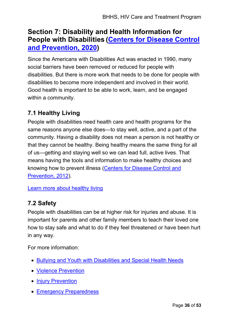# <span id="page-36-0"></span>**Section 7: Disability and Health Information for People with Disabilities [\(Centers for Disease Control](https://www.cdc.gov/ncbddd/disabilityandhealth/people.html)  [and Prevention, 2020\)](https://www.cdc.gov/ncbddd/disabilityandhealth/people.html)**

Since the Americans with Disabilities Act was enacted in 1990, many social barriers have been removed or reduced for people with disabilities. But there is more work that needs to be done for people with disabilities to become more independent and involved in their world. Good health is important to be able to work, learn, and be engaged within a community.

## <span id="page-36-1"></span>**7.1 Healthy Living**

People with disabilities need health care and health programs for the same reasons anyone else does—to stay well, active, and a part of the community. Having a disability does not mean a person is not healthy or that they cannot be healthy. Being healthy means the same thing for all of us—getting and staying well so we can lead full, active lives. That means having the tools and information to make healthy choices and knowing how to prevent illness [\(Centers for Disease Control and](https://www.cdc.gov/ncbddd/disabilityandhealth/healthyliving.html)  [Prevention, 2012\)](https://www.cdc.gov/ncbddd/disabilityandhealth/healthyliving.html).

[Learn more about healthy living](https://www.cdc.gov/ncbddd/disabilityandhealth/healthyliving.html)

## <span id="page-36-2"></span>**7.2 Safety**

People with disabilities can be at higher risk for injuries and abuse. It is important for parents and other family members to teach their loved one how to stay safe and what to do if they feel threatened or have been hurt in any way.

For more information:

- [Bullying and Youth with Disabilities and Special Health Needs](https://www.stopbullying.gov/at-risk/groups/special-needs/index.html)
- [Violence Prevention](https://www.cdc.gov/ViolencePrevention/index.html)
- **[Injury Prevention](https://www.cdc.gov/injury/index.html)**
- [Emergency Preparedness](https://www.cdc.gov/ncbddd/disabilityandhealth/emergencypreparedness.html)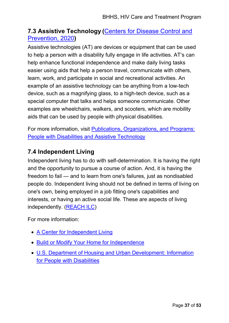## <span id="page-37-0"></span>**7.3 Assistive Technology (**[Centers for Disease Control and](https://www.cdc.gov/ncbddd/disabilityandhealth/people.html)  [Prevention, 2020](https://www.cdc.gov/ncbddd/disabilityandhealth/people.html)**)**

Assistive technologies (AT) are devices or equipment that can be used to help a person with a disability fully engage in life activities. AT's can help enhance functional independence and make daily living tasks easier using aids that help a person travel, communicate with others, learn, work, and participate in social and recreational activities. An example of an assistive technology can be anything from a low-tech device, such as a magnifying glass, to a high-tech device, such as a special computer that talks and helps someone communicate. Other examples are wheelchairs, walkers, and scooters, which are mobility aids that can be used by people with physical disabilities.

For more information, visit **Publications, Organizations, and Programs:** [People with Disabilities and Assistive Technology](http://www.aahd.us/best-practice-topic/assistive-technology/)

## <span id="page-37-1"></span>**7.4 Independent Living**

Independent living has to do with self-determination. It is having the right and the opportunity to pursue a course of action. And, it is having the freedom to fail — and to learn from one's failures, just as nondisabled people do. Independent living should not be defined in terms of living on one's own, being employed in a job fitting one's capabilities and interests, or having an active social life. These are aspects of living independently. [\(REACH ILC\)](https://www.reachcils.org/what-independent-living/)

For more information:

- [A Center for Independent Living](http://www.ilru.org/html/publications/directory/index.html)
- [Build or Modify Your Home for Independence](http://www.aota.org/-/media/Corporate/Files/Practice/Aging/Resources/Focus-On-Falls-Prevention-Home-Mod-Booklet.pdf)
- [U.S. Department of Housing and Urban Development: Information](https://www.hud.gov/program_offices/fair_housing_equal_opp/disability_main)  for People with Disabilities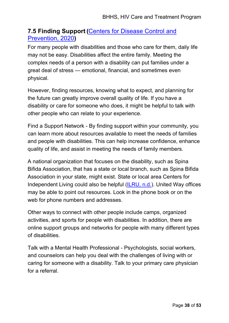## <span id="page-38-0"></span>**7.5 Finding Support (**[Centers for Disease Control and](https://www.cdc.gov/ncbddd/disabilityandhealth/people.html)  [Prevention, 2020](https://www.cdc.gov/ncbddd/disabilityandhealth/people.html)**)**

For many people with disabilities and those who care for them, daily life may not be easy. Disabilities affect the entire family. Meeting the complex needs of a person with a disability can put families under a great deal of stress — emotional, financial, and sometimes even physical.

However, finding resources, knowing what to expect, and planning for the future can greatly improve overall quality of life. If you have a disability or care for someone who does, it might be helpful to talk with other people who can relate to your experience.

Find a Support Network - By finding support within your community, you can learn more about resources available to meet the needs of families and people with disabilities. This can help increase confidence, enhance quality of life, and assist in meeting the needs of family members.

A national organization that focuses on the disability, such as Spina Bifida Association, that has a state or local branch, such as Spina Bifida Association in your state, might exist. State or local area Centers for Independent Living could also be helpful [\(ILRU, n.d.\)](https://www.ilru.org/projects/cil-net/cil-center-and-association-directory). United Way offices may be able to point out resources. Look in the phone book or on the web for phone numbers and addresses.

Other ways to connect with other people include camps, organized activities, and sports for people with disabilities. In addition, there are online support groups and networks for people with many different types of disabilities.

Talk with a Mental Health Professional - Psychologists, social workers, and counselors can help you deal with the challenges of living with or caring for someone with a disability. Talk to your primary care physician for a referral.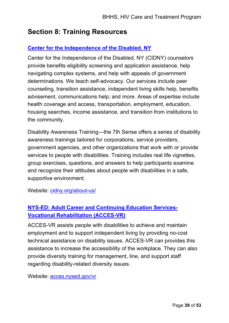# <span id="page-39-0"></span>**Section 8: Training Resources**

## **Center for the [Independence of the Disabled, NY](https://www.cidny.org/about-us/)**

Center for the Independence of the Disabled, NY (CIDNY) counselors provide benefits eligibility screening and application assistance, help navigating complex systems, and help with appeals of government determinations. We teach self-advocacy. Our services include peer counseling, transition assistance, independent living skills help, benefits advisement, communications help; and more. Areas of expertise include health coverage and access, transportation, employment, education, housing searches, income assistance, and transition from institutions to the community.

Disability Awareness Training—the 7th Sense offers a series of disability awareness trainings tailored for corporations, service providers, government agencies, and other organizations that work with or provide services to people with disabilities. Training includes real life vignettes, group exercises, questions, and answers to help participants examine and recognize their attitudes about people with disabilities in a safe, supportive environment.

Website: [cidny.org/about-us/](https://www.cidny.org/about-us/)

## **[NYS-ED: Adult Career and Continuing Education Services-](http://www.acces.nysed.gov/vr)Vocational Rehabilitation (ACCES-VR)**

ACCES-VR assists people with disabilities to achieve and maintain employment and to support independent living by providing no-cost technical assistance on disability issues. ACCES-VR can provides this assistance to increase the accessibility of the workplace. They can also provide diversity training for management, line, and support staff regarding disability-related diversity issues.

Website: [acces.nysed.gov/vr](http://www.acces.nysed.gov/vr)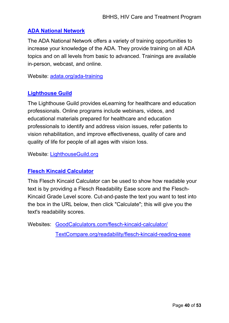### **[ADA National Network](https://adata.org/ada-training)**

The ADA National Network offers a variety of training opportunities to increase your knowledge of the ADA. They provide training on all ADA topics and on all levels from basic to advanced. Trainings are available in-person, webcast, and online.

Website: [adata.org/ada-training](https://adata.org/ada-training)

## **[Lighthouse Guild](https://lighthouseguild.org/)**

The Lighthouse Guild provides eLearning for healthcare and education professionals. Online programs include webinars, videos, and educational materials prepared for healthcare and education professionals to identify and address vision issues, refer patients to vision rehabilitation, and improve effectiveness, quality of care and quality of life for people of all ages with vision loss.

Website: [LighthouseGuild.org](https://lighthouseguild.org/)

### **[Flesch Kincaid Calculator](https://goodcalculators.com/flesch-kincaid-calculator/)**

This Flesch Kincaid Calculator can be used to show how readable your text is by providing a Flesch Readability Ease score and the Flesch-Kincaid Grade Level score. Cut-and-paste the text you want to test into the box in the URL below, then click "Calculate"; this will give you the text's readability scores.

<span id="page-40-0"></span>Websites: [GoodCalculators.com/flesch-kincaid-calculator/](https://goodcalculators.com/flesch-kincaid-calculator/)

[TextCompare.org/readability/flesch-kincaid-reading-ease](https://www.textcompare.org/readability/flesch-kincaid-reading-ease)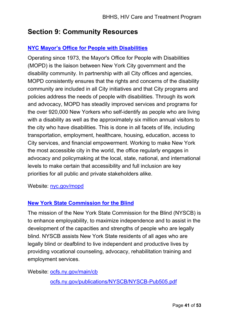# **Section 9: Community Resources**

## **[NYC Mayor's Office for People with Disabilities](https://www1.nyc.gov/site/mopd/index.page)**

Operating since 1973, the Mayor's Office for People with Disabilities (MOPD) is the liaison between New York City government and the disability community. In partnership with all City offices and agencies, MOPD consistently ensures that the rights and concerns of the disability community are included in all City initiatives and that City programs and policies address the needs of people with disabilities. Through its work and advocacy, MOPD has steadily improved services and programs for the over 920,000 New Yorkers who self-identify as people who are living with a disability as well as the approximately six million annual visitors to the city who have disabilities. This is done in all facets of life, including transportation, employment, healthcare, housing, education, access to City services, and financial empowerment. Working to make New York the most accessible city in the world, the office regularly engages in advocacy and policymaking at the local, state, national, and international levels to make certain that accessibility and full inclusion are key priorities for all public and private stakeholders alike.

Website: [nyc.gov/mopd](https://www1.nyc.gov/site/mopd/index.page)

## **[New York State Commission for the Blind](https://ocfs.ny.gov/publications/NYSCB/NYSCB-Pub505.pdf)**

The mission of the New York State Commission for the Blind (NYSCB) is to enhance employability, to maximize independence and to assist in the development of the capacities and strengths of people who are legally blind. NYSCB assists New York State residents of all ages who are legally blind or deafblind to live independent and productive lives by providing vocational counseling, advocacy, rehabilitation training and employment services.

Website: [ocfs.ny.gov/main/cb](https://ocfs.ny.gov/main/cb/)

[ocfs.ny.gov/publications/NYSCB/NYSCB-Pub505.pdf](https://ocfs.ny.gov/publications/NYSCB/NYSCB-Pub505.pdf)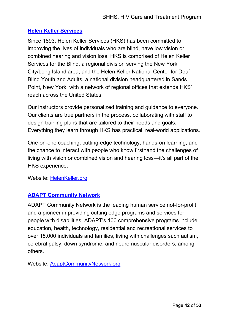### **[Helen Keller Services](https://www.helenkeller.org/)**

Since 1893, Helen Keller Services (HKS) has been committed to improving the lives of individuals who are blind, have low vision or combined hearing and vision loss. HKS is comprised of Helen Keller Services for the Blind, a regional division serving the New York City/Long Island area, and the Helen Keller National Center for Deaf-Blind Youth and Adults, a national division headquartered in Sands Point, New York, with a network of regional offices that extends HKS' reach across the United States.

Our instructors provide personalized training and guidance to everyone. Our clients are true partners in the process, collaborating with staff to design training plans that are tailored to their needs and goals. Everything they learn through HKS has practical, real-world applications.

One-on-one coaching, cutting-edge technology, hands-on learning, and the chance to interact with people who know firsthand the challenges of living with vision or combined vision and hearing loss—it's all part of the HKS experience.

#### Website: [HelenKeller.org](https://www.helenkeller.org/)

## **[ADAPT Community Network](https://adaptcommunitynetwork.org/)**

ADAPT Community Network is the leading human service not-for-profit and a pioneer in providing cutting edge programs and services for people with disabilities. ADAPT's 100 comprehensive programs include education, health, technology, residential and recreational services to over 18,000 individuals and families, living with challenges such autism, cerebral palsy, down syndrome, and neuromuscular disorders, among others.

Website: [AdaptCommunityNetwork.org](https://adaptcommunitynetwork.org/)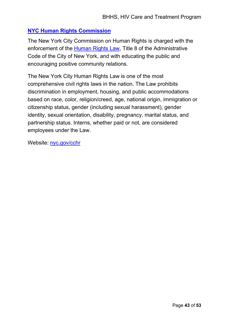## **[NYC Human Rights Commission](https://www1.nyc.gov/site/cchr/about/inside-cchr.page)**

The New York City Commission on Human Rights is charged with the enforcement of the [Human Rights Law,](https://www1.nyc.gov/site/cchr/law/text-of-the-law.page) Title 8 of the Administrative Code of the City of New York, and with educating the public and encouraging positive community relations.

The New York City Human Rights Law is one of the most comprehensive civil rights laws in the nation. The Law prohibits discrimination in employment, housing, and public accommodations based on race, color, religion/creed, age, national origin, immigration or citizenship status, gender (including sexual harassment), gender identity, sexual orientation, disability, pregnancy, marital status, and partnership status. Interns, whether paid or not, are considered employees under the Law.

Website: [nyc.gov/cchr](https://www1.nyc.gov/site/cchr/about/inside-cchr.page)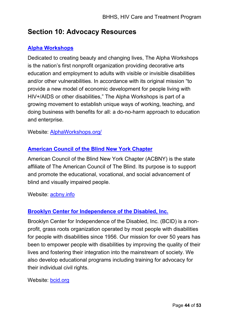# <span id="page-44-0"></span>**Section 10: Advocacy Resources**

## **[Alpha Workshops](https://alphaworkshops.org/)**

Dedicated to creating beauty and changing lives, The Alpha Workshops is the nation's first nonprofit organization providing decorative arts education and employment to adults with visible or invisible disabilities and/or other vulnerabilities. In accordance with its original mission "to provide a new model of economic development for people living with HIV+/AIDS or other disabilities," The Alpha Workshops is part of a growing movement to establish unique ways of working, teaching, and doing business with benefits for all: a do-no-harm approach to education and enterprise.

Website: [AlphaWorkshops.org/](https://alphaworkshops.org/)

### **[American Council of the Blind New York Chapter](https://www.acbny.info/)**

American Council of the Blind New York Chapter (ACBNY) is the state affiliate of The American Council of The Blind. Its purpose is to support and promote the educational, vocational, and social advancement of blind and visually impaired people.

Website: [acbny.info](https://www.acbny.info/)

### **[Brooklyn Center for Independence of the Disabled, Inc.](http://bcid.org/)**

Brooklyn Center for Independence of the Disabled, Inc. (BCID) is a nonprofit, grass roots organization operated by most people with disabilities for people with disabilities since 1956. Our mission for over 50 years has been to empower people with disabilities by improving the quality of their lives and fostering their integration into the mainstream of society. We also develop educational programs including training for advocacy for their individual civil rights.

#### Website: [bcid.org](http://bcid.org/)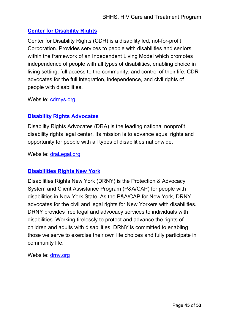## **[Center for Disability Rights](http://cdrnys.org/)**

Center for Disability Rights (CDR) is a disability led, not-for-profit Corporation. Provides services to people with disabilities and seniors within the framework of an Independent Living Model which promotes independence of people with all types of disabilities, enabling choice in living setting, full access to the community, and control of their life. CDR advocates for the full integration, independence, and civil rights of people with disabilities.

Website: [cdrnys.org](http://cdrnys.org/)

## **Disability [Rights Advocates](https://dralegal.org/)**

Disability Rights Advocates (DRA) is the leading national nonprofit disability rights legal center. Its mission is to advance equal rights and opportunity for people with all types of disabilities nationwide.

Website: [draLegal.org](https://dralegal.org/)

## **[Disabilities Rights New York](https://www.drny.org/)**

Disabilities Rights New York (DRNY) is the Protection & Advocacy System and Client Assistance Program (P&A/CAP) for people with disabilities in New York State. As the P&A/CAP for New York, DRNY advocates for the civil and legal rights for New Yorkers with disabilities. DRNY provides free legal and advocacy services to individuals with disabilities. Working tirelessly to protect and advance the rights of children and adults with disabilities, DRNY is committed to enabling those we serve to exercise their own life choices and fully participate in community life.

Website: [drny.org](https://www.drny.org/)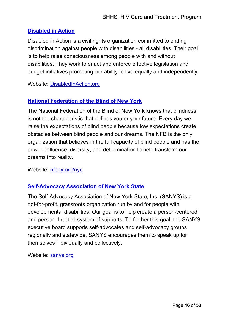## **[Disabled in Action](https://www.disabledinaction.org/)**

Disabled in Action is a civil rights organization committed to ending discrimination against people with disabilities - all disabilities. Their goal is to help raise consciousness among people with and without disabilities. They work to enact and enforce effective legislation and budget initiatives promoting our ability to live equally and independently.

Website: [DisabledInAction.org](https://www.disabledinaction.org/)

## **[National Federation of the Blind of New York](http://nfbny.org/nyc)**

The National Federation of the Blind of New York knows that blindness is not the characteristic that defines you or your future. Every day we raise the expectations of blind people because low expectations create obstacles between blind people and our dreams. The NFB is the only organization that believes in the full capacity of blind people and has the power, influence, diversity, and determination to help transform our dreams into reality.

Website: [nfbny.org/nyc](http://nfbny.org/nyc)

## **[Self-Advocacy Association of New York State](http://sanys.org/)**

The Self-Advocacy Association of New York State, Inc. (SANYS) is a not-for-profit, grassroots organization run by and for people with developmental disabilities. Our goal is to help create a person-centered and person-directed system of supports. To further this goal, the SANYS executive board supports self-advocates and self-advocacy groups regionally and statewide. SANYS encourages them to speak up for themselves individually and collectively.

Website: [sanys.org](http://sanys.org/)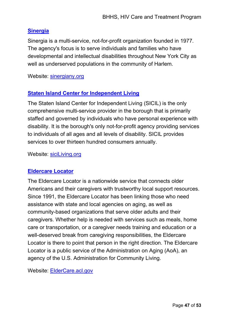## **[Sinergia](http://www.sinergiany.org/)**

Sinergia is a multi-service, not-for-profit organization founded in 1977. The agency's focus is to serve individuals and families who have developmental and intellectual disabilities throughout New York City as well as underserved populations in the community of Harlem.

Website: [sinergiany.org](http://www.sinergiany.org/)

## **[Staten Island Center for Independent Living](http://www.siciliving.org/)**

The Staten Island Center for Independent Living (SICIL) is the only comprehensive multi-service provider in the borough that is primarily staffed and governed by individuals who have personal experience with disability. It is the borough's only not-for-profit agency providing services to individuals of all ages and all levels of disability. SICIL provides services to over thirteen hundred consumers annually.

Website: [siciLiving.org](http://www.siciliving.org/)

## **[Eldercare Locator](https://eldercare.acl.gov/)**

The Eldercare Locator is a nationwide service that connects older Americans and their caregivers with trustworthy local support resources. Since 1991, the Eldercare Locator has been linking those who need assistance with state and local agencies on aging, as well as community-based organizations that serve older adults and their caregivers. Whether help is needed with services such as meals, home care or transportation, or a caregiver needs training and education or a well-deserved break from caregiving responsibilities, the Eldercare Locator is there to point that person in the right direction. The Eldercare Locator is a public service of the Administration on Aging (AoA), an agency of the U.S. Administration for Community Living.

Website: [ElderCare.acl.gov](https://eldercare.acl.gov/)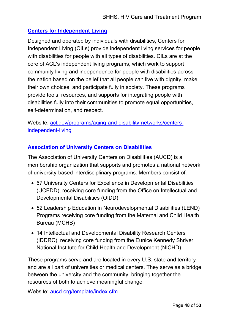## **[Centers for Independent Living](https://acl.gov/programs/aging-and-disability-networks/centers-independent-living)**

Designed and operated by individuals with disabilities, Centers for Independent Living (CILs) provide independent living services for people with disabilities for people with all types of disabilities. CILs are at the core of ACL's independent living programs, which work to support community living and independence for people with disabilities across the nation based on the belief that all people can live with dignity, make their own choices, and participate fully in society. These programs provide tools, resources, and supports for integrating people with disabilities fully into their communities to promote equal opportunities, self-determination, and respect.

Website: [acl.gov/programs/aging-and-disability-networks/centers](https://acl.gov/programs/aging-and-disability-networks/centers-independent-living)[independent-living](https://acl.gov/programs/aging-and-disability-networks/centers-independent-living)

### **[Association of University Centers on Disabilities](https://www.aucd.org/template/index.cfm)**

The Association of University Centers on Disabilities (AUCD) is a membership organization that supports and promotes a national network of university-based interdisciplinary programs. Members consist of:

- 67 University Centers for Excellence in Developmental Disabilities (UCEDD), receiving core funding from the Office on Intellectual and Developmental Disabilities (OIDD)
- 52 Leadership Education in Neurodevelopmental Disabilities (LEND) Programs receiving core funding from the Maternal and Child Health Bureau (MCHB)
- 14 Intellectual and Developmental Disability Research Centers (IDDRC), receiving core funding from the Eunice Kennedy Shriver National Institute for Child Health and Development (NICHD)

These programs serve and are located in every U.S. state and territory and are all part of universities or medical centers. They serve as a bridge between the university and the community, bringing together the resources of both to achieve meaningful change.

Website: [aucd.org/template/index.cfm](https://www.aucd.org/template/index.cfm)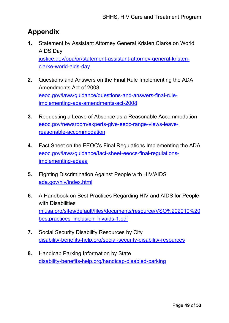# <span id="page-49-0"></span>**Appendix**

- **1.** Statement by Assistant Attorney General Kristen Clarke on World AIDS Day [justice.gov/opa/pr/statement-assistant-attorney-general-kristen](https://www.justice.gov/opa/pr/statement-assistant-attorney-general-kristen-clarke-world-aids-day)clarke-world-aids-day
- **2.** Questions and Answers on the Final Rule Implementing the ADA Amendments Act of 2008 [eeoc.gov/laws/guidance/questions-and-answers-final-rule](https://www.eeoc.gov/laws/guidance/questions-and-answers-final-rule-implementing-ada-amendments-act-2008)implementing-ada-amendments-act-2008
- **3.** Requesting a Leave of Absence as a Reasonable Accommodation [eeoc.gov/newsroom/experts-give-eeoc-range-views-leave](https://www.eeoc.gov/newsroom/experts-give-eeoc-range-views-leave-reasonable-accommodation)reasonable-accommodation
- **4.** Fact Sheet on the EEOC's Final Regulations Implementing the ADA [eeoc.gov/laws/guidance/fact-sheet-eeocs-final-regulations](https://www.eeoc.gov/laws/guidance/fact-sheet-eeocs-final-regulations-implementing-adaaa)implementing-adaaa
- **5.** Fighting Discrimination Against People with HIV/AIDS [ada.gov/hiv/index.html](https://www.ada.gov/hiv/index.html)
- **6.** A Handbook on Best Practices Regarding HIV and AIDS for People with Disabilities [miusa.org/sites/default/files/documents/resource/VSO%202010%20](https://www.miusa.org/sites/default/files/documents/resource/VSO%202010%20bestpractices_inclusion_hivaids-1.pdf) bestpractices\_inclusion\_hivaids-1.pdf
- **7.** Social Security Disability Resources by City [disability-benefits-help.org/social-security-disability-resources](https://www.disability-benefits-help.org/social-security-disability-resources)
- **8.** Handicap Parking Information by State [disability-benefits-help.org/handicap-disabled-parking](https://www.disability-benefits-help.org/handicap-disabled-parking)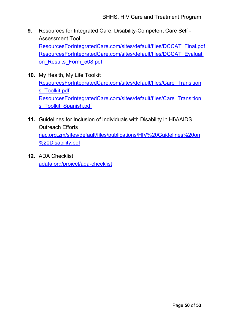- **9.** Resources for Integrated Care. Disability-Competent Care Self Assessment Tool [ResourcesForIntegratedCare.com/sites/default/files/DCCAT\\_Final.pdf](https://www.resourcesforintegratedcare.com/sites/default/files/DCCAT_Final.pdf) [ResourcesForIntegratedCare.com/sites/default/files/DCCAT\\_Evaluati](https://www.resourcesforintegratedcare.com/sites/default/files/DCCAT_Evaluation_Results_Form_508.pdf) on\_Results\_Form\_508.pdf
- **10.** My Health, My Life Toolkit [ResourcesForIntegratedCare.com/sites/default/files/Care\\_Transition](https://www.resourcesforintegratedcare.com/sites/default/files/Care_Transitions_Toolkit.pdf) s Toolkit.pdf [ResourcesForIntegratedCare.com/sites/default/files/Care\\_Transition](https://www.resourcesforintegratedcare.com/sites/default/files/Care_Transitions_Toolkit_Spanish.pdf) s Toolkit Spanish.pdf
- **11.** Guidelines for Inclusion of Individuals with Disability in HIV/AIDS Outreach Efforts [nac.org.zm/sites/default/files/publications/HIV%20Guidelines%20on](http://www.nac.org.zm/sites/default/files/publications/HIV%20Guidelines%20on%20Disability.pdf) %20Disability.pdf
- **12.** ADA Checklist [adata.org/project/ada-checklist](https://adata.org/project/ada-checklist)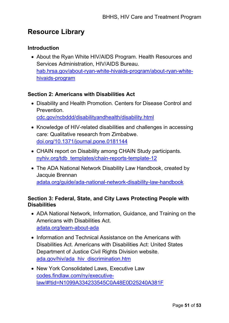# <span id="page-51-0"></span>**Resource Library**

#### **Introduction**

• About the Ryan White HIV/AIDS Program. Health Resources and Services Administration, HIV/AIDS Bureau. [hab.hrsa.gov/about-ryan-white-hivaids-program/about-ryan-white](https://hab.hrsa.gov/about-ryan-white-hivaids-program/about-ryan-white-hivaids-program)hivaids-program

#### **Section 2: Americans with Disabilities Act**

- Disability and Health Promotion. Centers for Disease Control and Prevention. [cdc.gov/ncbddd/disabilityandhealth/disability.html](https://www.cdc.gov/ncbddd/disabilityandhealth/disability.html)
- Knowledge of HIV-related disabilities and challenges in accessing care: Qualitative research from Zimbabwe. [doi.org/10.1371/journal.pone.0181144](https://doi.org/10.1371/journal.pone.0181144)
- CHAIN report on Disability among CHAIN Study participants. [nyhiv.org/tdb\\_templates/chain-reports-template-12](https://nyhiv.org/tdb_templates/chain-reports-template-12)
- The ADA National Network Disability Law Handbook, created by Jacquie Brennan [adata.org/guide/ada-national-network-disability-law-handbook](https://adata.org/guide/ada-national-network-disability-law-handbook)

### **Section 3: Federal, State, and City Laws Protecting People with Disabilities**

- ADA National Network, Information, Guidance, and Training on the Americans with Disabilities Act. [adata.org/learn-about-ada](https://adata.org/learn-about-ada)
- Information and Technical Assistance on the Americans with Disabilities Act. Americans with Disabilities Act: United States Department of Justice Civil Rights Division website. [ada.gov/hiv/ada\\_hiv\\_discrimination.htm](https://www.ada.gov/hiv/ada_hiv_discrimination.htm.)
- New York Consolidated Laws, Executive Law codes.findlaw.com/ny/executive[law/#!tid=N1099A334233545C0A48E0D25240A381F](https://codes.findlaw.com/ny/executive-law/#!tid=N1099A334233545C0A48E0D25240A381F)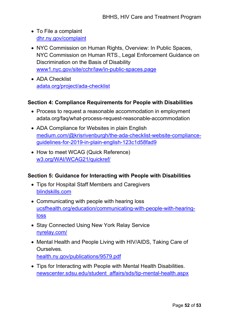- To File a complaint [dhr.ny.gov/complaint](https://dhr.ny.gov/complaint)
- NYC Commission on Human Rights, Overview: In Public Spaces, NYC Commission on Human RTS., Legal Enforcement Guidance on Discrimination on the Basis of Disability [www1.nyc.gov/site/cchr/law/in-public-spaces.page](https://www1.nyc.gov/site/cchr/law/in-public-spaces.page)
- ADA Checklist [adata.org/project/ada-checklist](https://adata.org/project/ada-checklist)

## **Section 4: Compliance Requirements for People with Disabilities**

- Process to request a reasonable accommodation in employment adata.org/faq/what-process-request-reasonable-accommodation
- ADA Compliance for Websites in plain English [medium.com/@krisrivenburgh/the-ada-checklist-website-compliance](http://medium.com/@krisrivenburgh/the-ada-checklist-website-compliance-guidelines-for-2019-in-plain-english-123c1d58fad9)guidelines-for-2019-in-plain-english-123c1d58fad9
- How to meet WCAG (Quick Reference) [w3.org/WAI/WCAG21/quickref/](https://www.w3.org/WAI/WCAG21/quickref/)

## **Section 5: Guidance for Interacting with People with Disabilities**

- Tips for Hospital Staff Members and Caregivers [blindskills.com](http://www.blindskills.com/)
- Communicating with people with hearing loss [ucsfhealth.org/education/communicating-with-people-with-hearing](https://www.ucsfhealth.org/education/communicating-with-people-with-hearing-loss)loss
- Stay Connected Using New York Relay Service [nyrelay.com/](https://nyrelay.com/)
- Mental Health and People Living with HIV/AIDS, Taking Care of Ourselves. [health.ny.gov/publications/9579.pdf](http://www.health.ny.gov/publications/9579.pdf)
- Tips for Interacting with People with Mental Health Disabilities. [newscenter.sdsu.edu/student\\_affairs/sds/tip-mental-health.aspx](https://newscenter.sdsu.edu/student_affairs/sds/tip-mental-health.aspx)